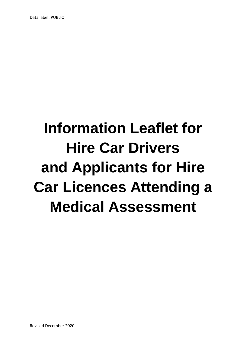# **Information Leaflet for Hire Car Drivers and Applicants for Hire Car Licences Attending a Medical Assessment**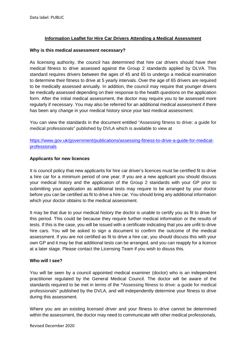# **Information Leaflet for Hire Car Drivers Attending a Medical Assessment**

#### **Why is this medical assessment necessary?**

As licensing authority, the council has determined that hire car drivers should have their medical fitness to drive assessed against the Group 2 standards applied by DLVA. This standard requires drivers between the ages of 45 and 65 to undergo a medical examination to determine their fitness to drive at 5 yearly intervals. Over the age of 65 drivers are required to be medically assessed annually. In addition, the council may require that younger drivers be medically assessed depending on their response to the health questions on the application form. After the initial medical assessment, the doctor may require you to be assessed more regularly if necessary. You may also be referred for an additional medical assessment if there has been any change in your medical history since your last medical assessment.

You can view the standards in the document entitled "Assessing fitness to drive: a guide for medical professionals" published by DVLA which is available to view at

https://www.gov.uk/government/publications/assessing-fitness-to-drive-a-guide-for-medicalprofessionals

## **Applicants for new licences**

It is council policy that new applicants for hire car driver's licences must be certified fit to drive a hire car for a minimum period of one year. If you are a new applicant you should discuss your medical history and the application of the Group 2 standards with your GP prior to submitting your application as additional tests may require to be arranged by your doctor before you can be certified as fit to drive a hire car. You should bring any additional information which your doctor obtains to the medical assessment.

It may be that due to your medical history the doctor is unable to certify you as fit to drive for this period. This could be because they require further medical information or the results of tests. If this is the case, you will be issued with a certificate indicating that you are unfit to drive hire cars. You will be asked to sign a document to confirm the outcome of the medical assessment. If you are not certified as fit to drive a hire car, you should discuss this with your own GP and it may be that additional tests can be arranged, and you can reapply for a licence at a later stage. Please contact the Licensing Team if you wish to disuss this.

#### **Who will I see?**

You will be seen by a council appointed medical examiner (doctor) who is an independent practitioner regulated by the General Medical Council. The doctor will be aware of the standards required to be met in terms of the **"**Assessing fitness to drive: a guide for medical professionals" published by the DVLA, and will independently determine your fitness to drive during this assessment.

Where you are an existing licensed driver and your fitness to drive cannot be determined within the assessment, the doctor may need to communicate with other medical professionals,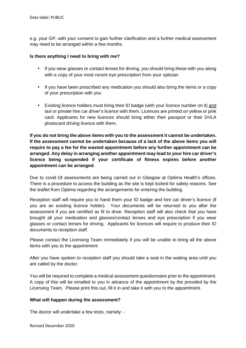e.g. your GP, with your consent to gain further clarification and a further medical assessment may need to be arranged within a few months.

# **Is there anything I need to bring with me?**

- If you wear glasses or contact lenses for driving, you should bring these with you along with a copy of your most recent eye prescription from your optician
- If you have been prescribed any medication you should also bring the items or a copy of your prescription with you
- Existing licence holders must bring their ID badge (with your licence number on it) and taxi or private hire car driver's licence with them. Licences are printed on yellow or pink card. Applicants for new licences should bring either their passport or their DVLA photocard driving licence with them.

**If you do not bring the above items with you to the assessment it cannot be undertaken. If the assessment cannot be undertaken because of a lack of the above items you will require to pay a fee for the wasted appointment before any further appointment can be arranged. Any delay in arranging another appointment may lead to your hire car driver's licence being suspended if your certificate of fitness expires before another appointment can be arranged.** 

Due to covid-19 assessments are being carried out in Glasgow at Optima Health's offices. There is a procedure to access the building as the site is kept locked for safety reasons. See the leaflet from Optima regarding the arrangements for entering the building.

Reception staff will require you to hand them your ID badge and hire car driver's licence (if you are an existing licence holder). Your documents will be returned to you after the assessment if you are certified as fit to drive. Reception staff will also check that you have brought all your medication and glasses/contact lenses and eye prescription if you wear glasses or contact lenses for driving. Applicants for licences will require to produce their ID documents to reception staff.

Please contact the Licensing Team immediately if you will be unable to bring all the above items with you to the appointment.

After you have spoken to reception staff you should take a seat in the waiting area until you are called by the doctor.

You will be required to complete a medical assessment questionnaire prior to the appointment. A copy of this will be emailed to you in advance of the appointment by the provided by the Licensing Team. Please print this out, fill it in and take it with you to the appointment.

## **What will happen during the assessment?**

The doctor will undertake a few tests, namely: -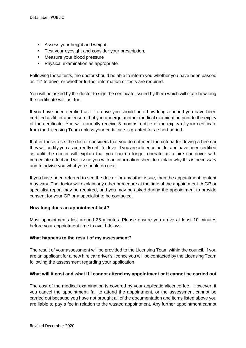- Assess your height and weight,
- Test your eyesight and consider your prescription,
- Measure your blood pressure
- Physical examination as appropriate

Following these tests, the doctor should be able to inform you whether you have been passed as "fit" to drive, or whether further information or tests are required.

You will be asked by the doctor to sign the certificate issued by them which will state how long the certificate will last for.

If you have been certified as fit to drive you should note how long a period you have been certified as fit for and ensure that you undergo another medical examination prior to the expiry of the certificate. You will normally receive 3 months' notice of the expiry of your certificate from the Licensing Team unless your certificate is granted for a short period.

If after these tests the doctor considers that you do not meet the criteria for driving a hire car they will certify you as currently unfit to drive. If you are a licence holder and have been certified as unfit the doctor will explain that you can no longer operate as a hire car driver with immediate effect and will issue you with an information sheet to explain why this is necessary and to advise you what you should do next.

If you have been referred to see the doctor for any other issue, then the appointment content may vary. The doctor will explain any other procedure at the time of the appointment. A GP or specialist report may be required, and you may be asked during the appointment to provide consent for your GP or a specialist to be contacted.

## **How long does an appointment last?**

Most appointments last around 25 minutes. Please ensure you arrive at least 10 minutes before your appointment time to avoid delays.

## **What happens to the result of my assessment?**

The result of your assessment will be provided to the Licensing Team within the council. If you are an applicant for a new hire car driver's licence you will be contacted by the Licensing Team following the assessment regarding your application.

## **What will it cost and what if I cannot attend my appointment or it cannot be carried out**

The cost of the medical examination is covered by your application/licence fee. However, if you cancel the appointment, fail to attend the appointment, or the assessment cannot be carried out because you have not brought all of the documentation and items listed above you are liable to pay a fee in relation to the wasted appointment. Any further appointment cannot